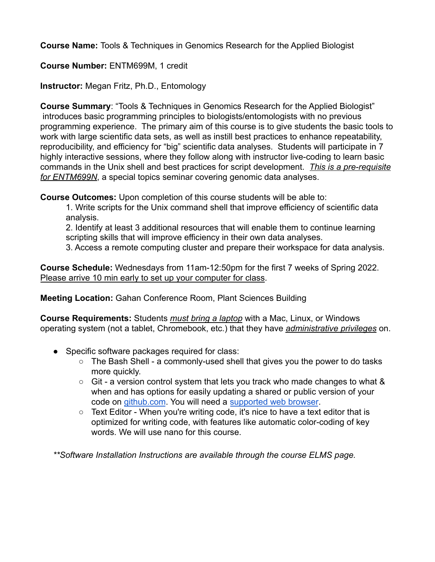**Course Name:** Tools & Techniques in Genomics Research for the Applied Biologist

# **Course Number:** ENTM699M, 1 credit

**Instructor:** Megan Fritz, Ph.D., Entomology

**Course Summary**: "Tools & Techniques in Genomics Research for the Applied Biologist" introduces basic programming principles to biologists/entomologists with no previous programming experience. The primary aim of this course is to give students the basic tools to work with large scientific data sets, as well as instill best practices to enhance repeatability, reproducibility, and efficiency for "big" scientific data analyses. Students will participate in 7 highly interactive sessions, where they follow along with instructor live-coding to learn basic commands in the Unix shell and best practices for script development. *This is a pre-requisite for ENTM699N*, a special topics seminar covering genomic data analyses.

**Course Outcomes:** Upon completion of this course students will be able to:

1. Write scripts for the Unix command shell that improve efficiency of scientific data analysis.

2. Identify at least 3 additional resources that will enable them to continue learning scripting skills that will improve efficiency in their own data analyses.

3. Access a remote computing cluster and prepare their workspace for data analysis.

**Course Schedule:** Wednesdays from 11am-12:50pm for the first 7 weeks of Spring 2022. Please arrive 10 min early to set up your computer for class.

**Meeting Location:** Gahan Conference Room, Plant Sciences Building

**Course Requirements:** Students *must bring a laptop* with a Mac, Linux, or Windows operating system (not a tablet, Chromebook, etc.) that they have *administrative privileges* on.

- Specific software packages required for class:
	- $\circ$  The Bash Shell a commonly-used shell that gives you the power to do tasks more quickly.
	- $\circ$  Git a version control system that lets you track who made changes to what & when and has options for easily updating a shared or public version of your code on [github.com](https://github.com/). You will need a [supported web](https://help.github.com/articles/supported-browsers/) browser.
	- Text Editor When you're writing code, it's nice to have a text editor that is optimized for writing code, with features like automatic color-coding of key words. We will use nano for this course.

*\*\*Software Installation Instructions are available through the course ELMS page.*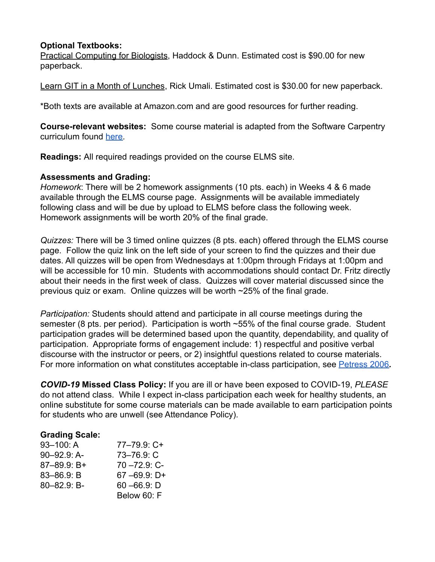### **Optional Textbooks:**

Practical Computing for Biologists, Haddock & Dunn. Estimated cost is \$90.00 for new paperback.

Learn GIT in a Month of Lunches, Rick Umali. Estimated cost is \$30.00 for new paperback.

\*Both texts are available at Amazon.com and are good resources for further reading.

**Course-relevant websites:** Some course material is adapted from the Software Carpentry curriculum found [here.](https://software-carpentry.org/lessons/)

**Readings:** All required readings provided on the course ELMS site.

### **Assessments and Grading:**

*Homework*: There will be 2 homework assignments (10 pts. each) in Weeks 4 & 6 made available through the ELMS course page. Assignments will be available immediately following class and will be due by upload to ELMS before class the following week. Homework assignments will be worth 20% of the final grade.

*Quizzes:* There will be 3 timed online quizzes (8 pts. each) offered through the ELMS course page. Follow the quiz link on the left side of your screen to find the quizzes and their due dates. All quizzes will be open from Wednesdays at 1:00pm through Fridays at 1:00pm and will be accessible for 10 min. Students with accommodations should contact Dr. Fritz directly about their needs in the first week of class. Quizzes will cover material discussed since the previous quiz or exam. Online quizzes will be worth ~25% of the final grade.

*Participation:* Students should attend and participate in all course meetings during the semester (8 pts. per period). Participation is worth ~55% of the final course grade. Student participation grades will be determined based upon the quantity, dependability, and quality of participation. Appropriate forms of engagement include: 1) respectful and positive verbal discourse with the instructor or peers, or 2) insightful questions related to course materials. For more information on what constitutes acceptable in-class participation, see [Petress 2006](https://umd.instructure.com/courses/1319475/files/66029541?wrap=1)**.**

*COVID-19* **Missed Class Policy:** If you are ill or have been exposed to COVID-19, *PLEASE* do not attend class. While I expect in-class participation each week for healthy students, an online substitute for some course materials can be made available to earn participation points for students who are unwell (see Attendance Policy).

## **Grading Scale:**

| $93 - 100$ : A   | $77 - 79.9$ C+   |
|------------------|------------------|
| $90 - 92.9$ : A- | 73-76.9: C       |
| 87-89.9: B+      | $70 - 72.9$ : C- |
| $83 - 86.9$ : B  | $67 - 69.9$ : D+ |
| $80 - 82.9$ : B- | $60 - 66.9$ : D  |
|                  | Below 60: F      |